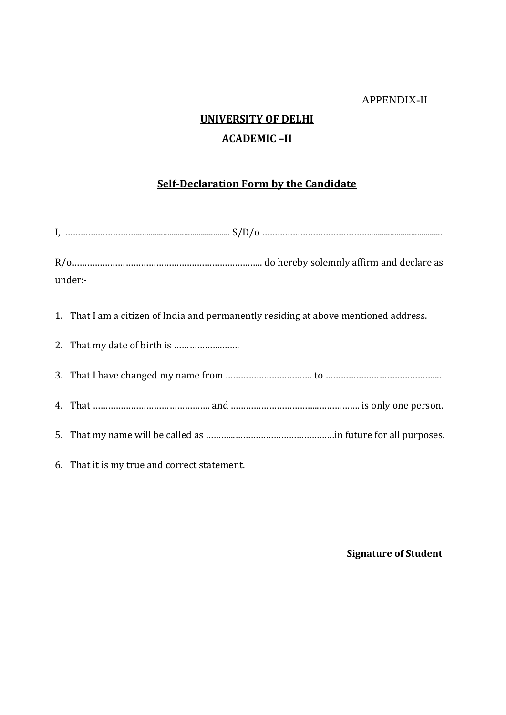### APPENDIX-II

# **UNIVERSITY OF DELHI ACADEMIC –II**

### **Self-Declaration Form by the Candidate**

| under:- |                                                                                      |
|---------|--------------------------------------------------------------------------------------|
|         | 1. That I am a citizen of India and permanently residing at above mentioned address. |
|         |                                                                                      |
|         |                                                                                      |
|         |                                                                                      |
|         |                                                                                      |
|         | 6. That it is my true and correct statement.                                         |

### **Signature of Student**